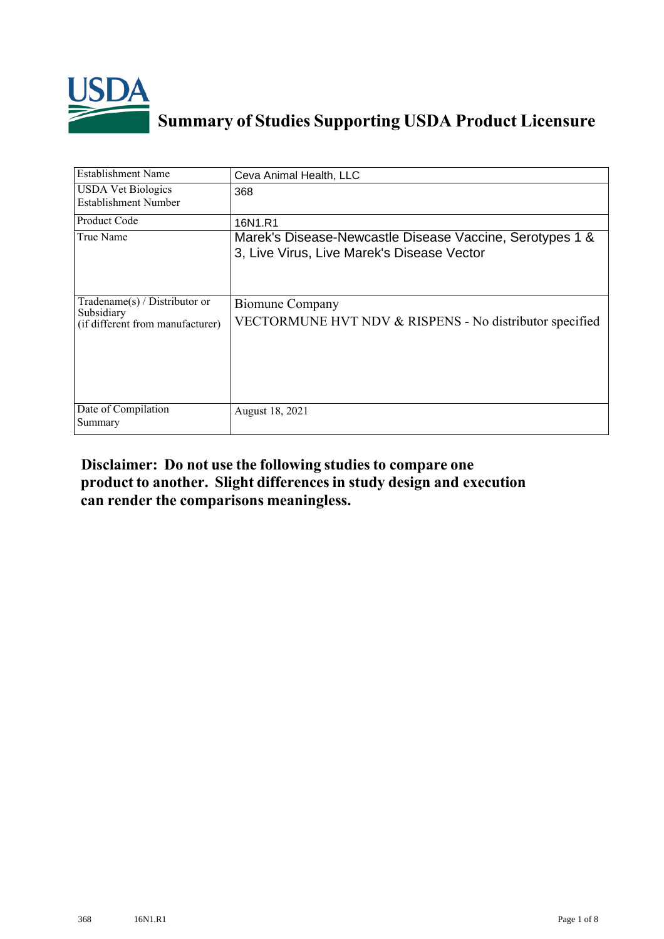

## **Summary of Studies Supporting USDA Product Licensure**

| <b>Establishment Name</b>                                                          | Ceva Animal Health, LLC                                                                                |
|------------------------------------------------------------------------------------|--------------------------------------------------------------------------------------------------------|
| <b>USDA Vet Biologics</b><br>Establishment Number                                  | 368                                                                                                    |
| Product Code                                                                       | 16N1.R1                                                                                                |
| True Name                                                                          | Marek's Disease-Newcastle Disease Vaccine, Serotypes 1 &<br>3, Live Virus, Live Marek's Disease Vector |
| Tradename $(s)$ / Distributor or<br>Subsidiary<br>(if different from manufacturer) | <b>Biomune Company</b><br>VECTORMUNE HVT NDV & RISPENS - No distributor specified                      |
| Date of Compilation<br>Summary                                                     | August 18, 2021                                                                                        |

## **Disclaimer: Do not use the following studiesto compare one product to another. Slight differencesin study design and execution can render the comparisons meaningless.**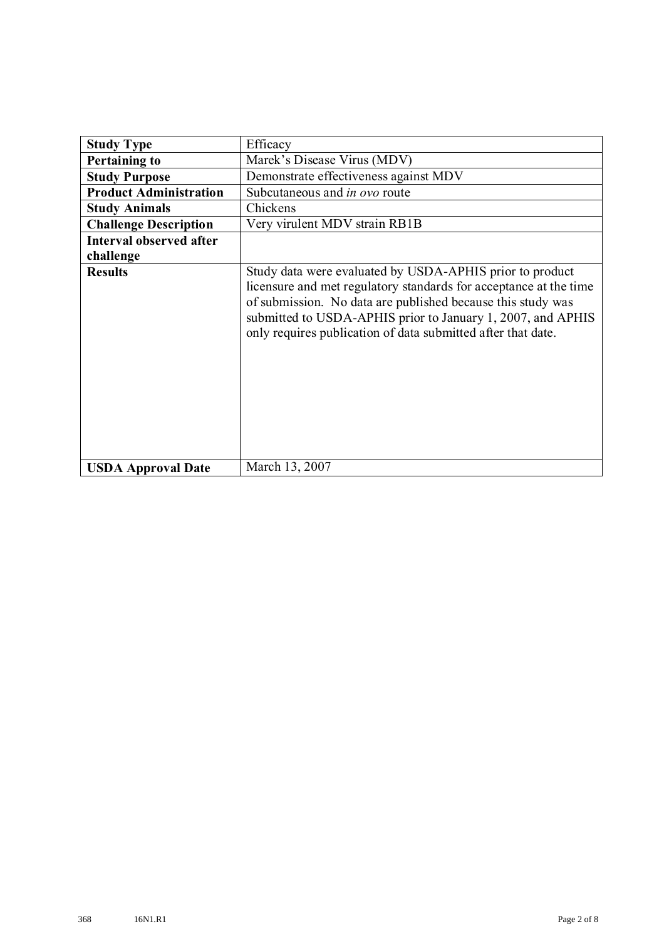| <b>Study Type</b>             | Efficacy                                                                                                                                                                                                                                                                                                                    |  |  |  |  |  |
|-------------------------------|-----------------------------------------------------------------------------------------------------------------------------------------------------------------------------------------------------------------------------------------------------------------------------------------------------------------------------|--|--|--|--|--|
| <b>Pertaining to</b>          | Marek's Disease Virus (MDV)                                                                                                                                                                                                                                                                                                 |  |  |  |  |  |
| <b>Study Purpose</b>          | Demonstrate effectiveness against MDV                                                                                                                                                                                                                                                                                       |  |  |  |  |  |
| <b>Product Administration</b> | Subcutaneous and <i>in ovo</i> route                                                                                                                                                                                                                                                                                        |  |  |  |  |  |
| <b>Study Animals</b>          | Chickens                                                                                                                                                                                                                                                                                                                    |  |  |  |  |  |
| <b>Challenge Description</b>  | Very virulent MDV strain RB1B                                                                                                                                                                                                                                                                                               |  |  |  |  |  |
| Interval observed after       |                                                                                                                                                                                                                                                                                                                             |  |  |  |  |  |
| challenge                     |                                                                                                                                                                                                                                                                                                                             |  |  |  |  |  |
| <b>Results</b>                | Study data were evaluated by USDA-APHIS prior to product<br>licensure and met regulatory standards for acceptance at the time<br>of submission. No data are published because this study was<br>submitted to USDA-APHIS prior to January 1, 2007, and APHIS<br>only requires publication of data submitted after that date. |  |  |  |  |  |
| <b>USDA Approval Date</b>     | March 13, 2007                                                                                                                                                                                                                                                                                                              |  |  |  |  |  |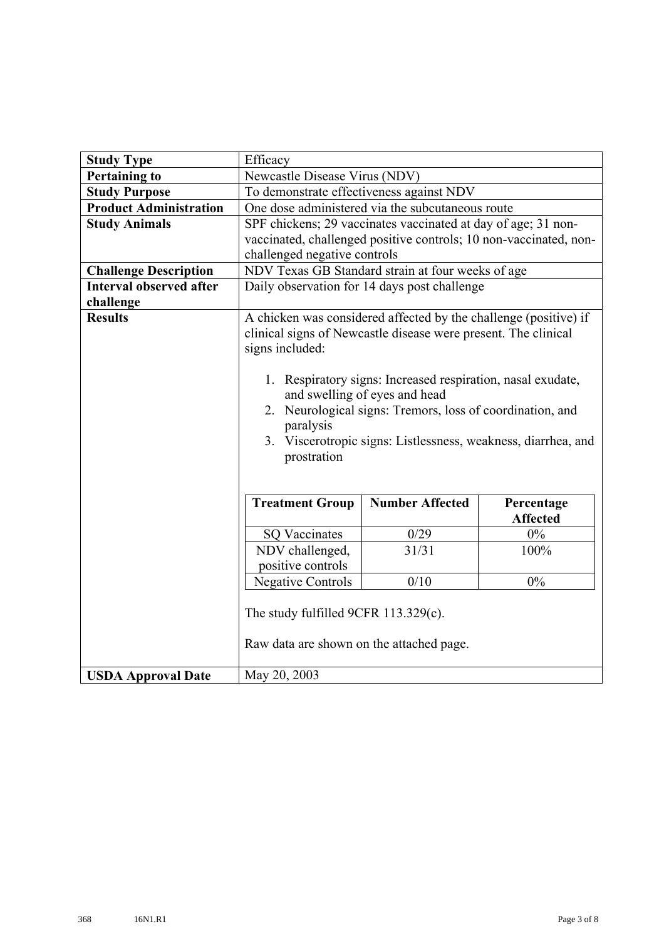| <b>Study Type</b>              | Efficacy                                                                                                                                                                                                                                                                                                                                                                                                        |                                                                   |                 |  |  |  |  |
|--------------------------------|-----------------------------------------------------------------------------------------------------------------------------------------------------------------------------------------------------------------------------------------------------------------------------------------------------------------------------------------------------------------------------------------------------------------|-------------------------------------------------------------------|-----------------|--|--|--|--|
| <b>Pertaining to</b>           | Newcastle Disease Virus (NDV)                                                                                                                                                                                                                                                                                                                                                                                   |                                                                   |                 |  |  |  |  |
| <b>Study Purpose</b>           | To demonstrate effectiveness against NDV                                                                                                                                                                                                                                                                                                                                                                        |                                                                   |                 |  |  |  |  |
| <b>Product Administration</b>  |                                                                                                                                                                                                                                                                                                                                                                                                                 | One dose administered via the subcutaneous route                  |                 |  |  |  |  |
| <b>Study Animals</b>           |                                                                                                                                                                                                                                                                                                                                                                                                                 | SPF chickens; 29 vaccinates vaccinated at day of age; 31 non-     |                 |  |  |  |  |
|                                | challenged negative controls                                                                                                                                                                                                                                                                                                                                                                                    | vaccinated, challenged positive controls; 10 non-vaccinated, non- |                 |  |  |  |  |
| <b>Challenge Description</b>   |                                                                                                                                                                                                                                                                                                                                                                                                                 | NDV Texas GB Standard strain at four weeks of age                 |                 |  |  |  |  |
| <b>Interval observed after</b> |                                                                                                                                                                                                                                                                                                                                                                                                                 | Daily observation for 14 days post challenge                      |                 |  |  |  |  |
| challenge                      |                                                                                                                                                                                                                                                                                                                                                                                                                 |                                                                   |                 |  |  |  |  |
| <b>Results</b>                 | A chicken was considered affected by the challenge (positive) if<br>clinical signs of Newcastle disease were present. The clinical<br>signs included:<br>1. Respiratory signs: Increased respiration, nasal exudate,<br>and swelling of eyes and head<br>2. Neurological signs: Tremors, loss of coordination, and<br>paralysis<br>3. Viscerotropic signs: Listlessness, weakness, diarrhea, and<br>prostration |                                                                   |                 |  |  |  |  |
|                                | <b>Number Affected</b><br><b>Treatment Group</b><br>Percentage                                                                                                                                                                                                                                                                                                                                                  |                                                                   |                 |  |  |  |  |
|                                |                                                                                                                                                                                                                                                                                                                                                                                                                 |                                                                   | <b>Affected</b> |  |  |  |  |
|                                | <b>SQ Vaccinates</b>                                                                                                                                                                                                                                                                                                                                                                                            | 0/29                                                              | $0\%$           |  |  |  |  |
|                                | 31/31<br>NDV challenged,<br>100%                                                                                                                                                                                                                                                                                                                                                                                |                                                                   |                 |  |  |  |  |
|                                | positive controls                                                                                                                                                                                                                                                                                                                                                                                               |                                                                   |                 |  |  |  |  |
|                                | $0\%$<br><b>Negative Controls</b><br>0/10                                                                                                                                                                                                                                                                                                                                                                       |                                                                   |                 |  |  |  |  |
|                                | The study fulfilled 9CFR 113.329(c).<br>Raw data are shown on the attached page.                                                                                                                                                                                                                                                                                                                                |                                                                   |                 |  |  |  |  |
| <b>USDA Approval Date</b>      | May 20, 2003                                                                                                                                                                                                                                                                                                                                                                                                    |                                                                   |                 |  |  |  |  |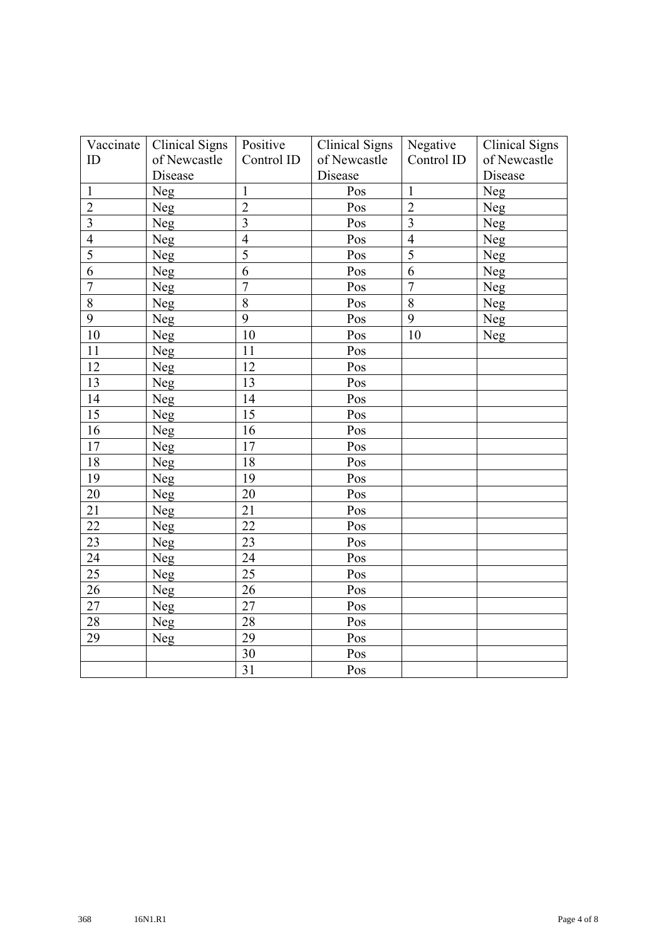| Vaccinate               | <b>Clinical Signs</b> | Positive        | <b>Clinical Signs</b> | Negative                | <b>Clinical Signs</b> |
|-------------------------|-----------------------|-----------------|-----------------------|-------------------------|-----------------------|
| ID                      | of Newcastle          | Control ID      | of Newcastle          | Control ID              | of Newcastle          |
|                         | Disease               |                 | Disease               |                         | Disease               |
| $\mathbf{1}$            | Neg                   | $\mathbf{1}$    | Pos                   | $\mathbf{1}$            | Neg                   |
| $\overline{2}$          | Neg                   | $\overline{2}$  | Pos                   | $\overline{2}$          | Neg                   |
| $\overline{\mathbf{3}}$ | <b>Neg</b>            | $\overline{3}$  | Pos                   | $\overline{\mathbf{3}}$ | <b>Neg</b>            |
| $\overline{4}$          | Neg                   | $\overline{4}$  | Pos                   | $\overline{4}$          | Neg                   |
| $\overline{5}$          | Neg                   | $\overline{5}$  | Pos                   | $\overline{5}$          | Neg                   |
| $\overline{6}$          | Neg                   | $\overline{6}$  | Pos                   | $\overline{6}$          | Neg                   |
| $\overline{7}$          | Neg                   | $\overline{7}$  | Pos                   | $\overline{7}$          | Neg                   |
| 8                       | Neg                   | $\overline{8}$  | Pos                   | $\overline{8}$          | Neg                   |
| 9                       | Neg                   | 9               | Pos                   | 9                       | Neg                   |
| 10                      | Neg                   | 10              | Pos                   | 10                      | Neg                   |
| 11                      | Neg                   | 11              | Pos                   |                         |                       |
| 12                      | Neg                   | 12              | Pos                   |                         |                       |
| 13                      | Neg                   | 13              | Pos                   |                         |                       |
| 14                      | Neg                   | 14              | Pos                   |                         |                       |
| 15                      | Neg                   | 15              | Pos                   |                         |                       |
| 16                      | Neg                   | 16              | Pos                   |                         |                       |
| 17                      | Neg                   | 17              | Pos                   |                         |                       |
| 18                      | Neg                   | 18              | Pos                   |                         |                       |
| 19                      | <b>Neg</b>            | 19              | Pos                   |                         |                       |
| 20                      | Neg                   | 20              | Pos                   |                         |                       |
| 21                      | Neg                   | 21              | Pos                   |                         |                       |
| 22                      | Neg                   | 22              | Pos                   |                         |                       |
| 23                      | Neg                   | 23              | Pos                   |                         |                       |
| 24                      | Neg                   | 24              | Pos                   |                         |                       |
| 25                      | Neg                   | 25              | Pos                   |                         |                       |
| 26                      | Neg                   | 26              | Pos                   |                         |                       |
| 27                      | Neg                   | 27              | Pos                   |                         |                       |
| 28                      | Neg                   | 28              | Pos                   |                         |                       |
| 29                      | Neg                   | 29              | Pos                   |                         |                       |
|                         |                       | 30              | Pos                   |                         |                       |
|                         |                       | $\overline{31}$ | Pos                   |                         |                       |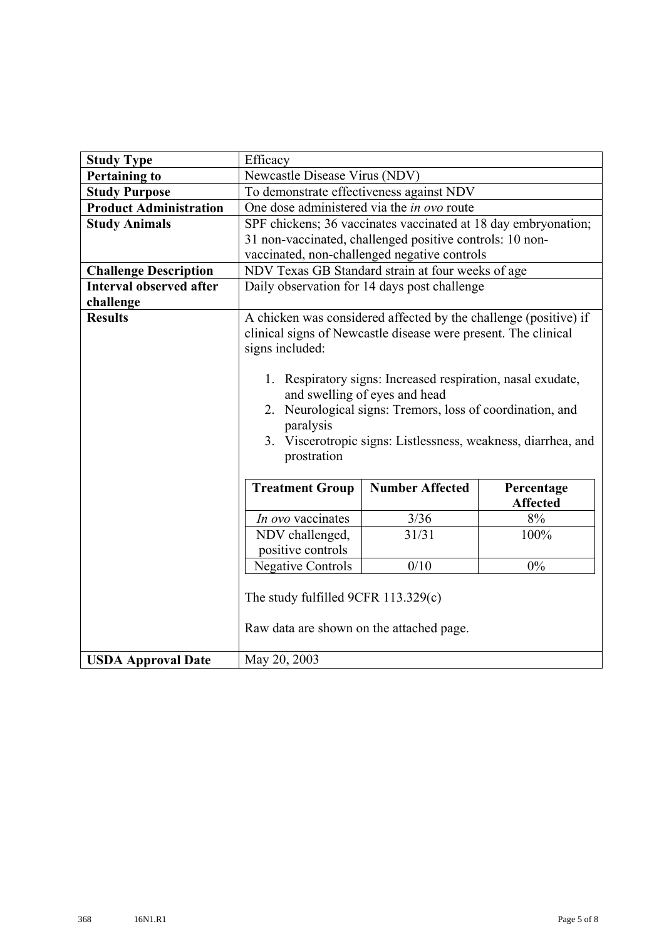| <b>Study Type</b>              | Efficacy                                                                                                                                                                                                                                                                                                                                                                                                        |                                                                |                 |  |  |  |  |
|--------------------------------|-----------------------------------------------------------------------------------------------------------------------------------------------------------------------------------------------------------------------------------------------------------------------------------------------------------------------------------------------------------------------------------------------------------------|----------------------------------------------------------------|-----------------|--|--|--|--|
| <b>Pertaining to</b>           | Newcastle Disease Virus (NDV)                                                                                                                                                                                                                                                                                                                                                                                   |                                                                |                 |  |  |  |  |
| <b>Study Purpose</b>           | To demonstrate effectiveness against NDV                                                                                                                                                                                                                                                                                                                                                                        |                                                                |                 |  |  |  |  |
| <b>Product Administration</b>  | One dose administered via the <i>in ovo</i> route                                                                                                                                                                                                                                                                                                                                                               |                                                                |                 |  |  |  |  |
| <b>Study Animals</b>           |                                                                                                                                                                                                                                                                                                                                                                                                                 | SPF chickens; 36 vaccinates vaccinated at 18 day embryonation; |                 |  |  |  |  |
|                                |                                                                                                                                                                                                                                                                                                                                                                                                                 | 31 non-vaccinated, challenged positive controls: 10 non-       |                 |  |  |  |  |
|                                |                                                                                                                                                                                                                                                                                                                                                                                                                 | vaccinated, non-challenged negative controls                   |                 |  |  |  |  |
| <b>Challenge Description</b>   |                                                                                                                                                                                                                                                                                                                                                                                                                 | NDV Texas GB Standard strain at four weeks of age              |                 |  |  |  |  |
| <b>Interval observed after</b> |                                                                                                                                                                                                                                                                                                                                                                                                                 | Daily observation for 14 days post challenge                   |                 |  |  |  |  |
| challenge                      |                                                                                                                                                                                                                                                                                                                                                                                                                 |                                                                |                 |  |  |  |  |
| <b>Results</b>                 | A chicken was considered affected by the challenge (positive) if<br>clinical signs of Newcastle disease were present. The clinical<br>signs included:<br>1. Respiratory signs: Increased respiration, nasal exudate,<br>and swelling of eyes and head<br>2. Neurological signs: Tremors, loss of coordination, and<br>paralysis<br>3. Viscerotropic signs: Listlessness, weakness, diarrhea, and<br>prostration |                                                                |                 |  |  |  |  |
|                                | <b>Number Affected</b><br><b>Treatment Group</b><br>Percentage                                                                                                                                                                                                                                                                                                                                                  |                                                                |                 |  |  |  |  |
|                                |                                                                                                                                                                                                                                                                                                                                                                                                                 |                                                                | <b>Affected</b> |  |  |  |  |
|                                | In ovo vaccinates                                                                                                                                                                                                                                                                                                                                                                                               | 3/36<br>31/31                                                  | 8%<br>100%      |  |  |  |  |
|                                | NDV challenged,<br>positive controls                                                                                                                                                                                                                                                                                                                                                                            |                                                                |                 |  |  |  |  |
|                                | 0/10<br>0%                                                                                                                                                                                                                                                                                                                                                                                                      |                                                                |                 |  |  |  |  |
|                                | <b>Negative Controls</b>                                                                                                                                                                                                                                                                                                                                                                                        |                                                                |                 |  |  |  |  |
|                                | The study fulfilled 9CFR 113.329(c)                                                                                                                                                                                                                                                                                                                                                                             |                                                                |                 |  |  |  |  |
|                                | Raw data are shown on the attached page.                                                                                                                                                                                                                                                                                                                                                                        |                                                                |                 |  |  |  |  |
| <b>USDA Approval Date</b>      | May 20, 2003                                                                                                                                                                                                                                                                                                                                                                                                    |                                                                |                 |  |  |  |  |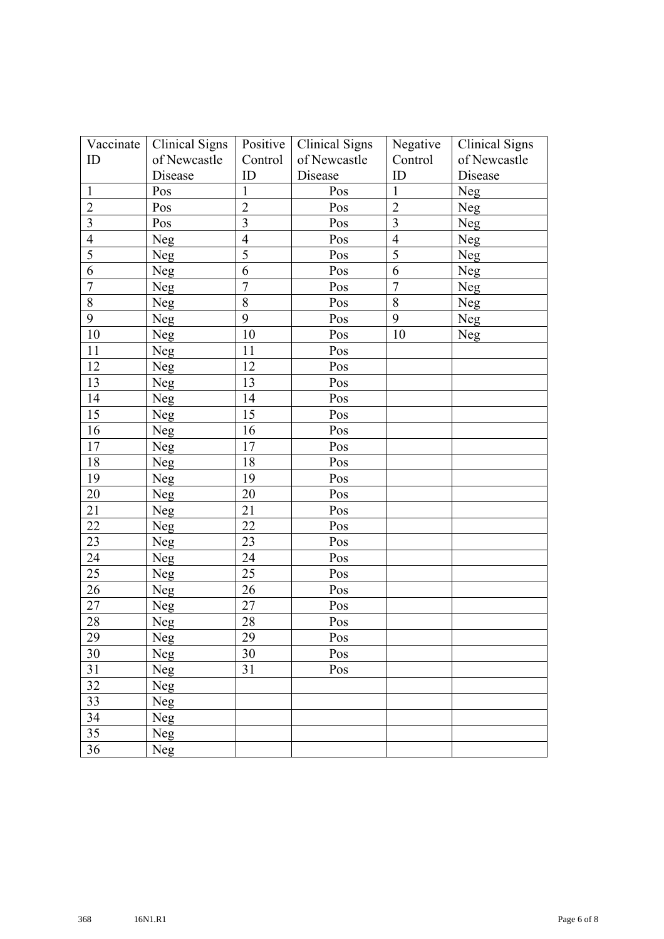| Vaccinate      | <b>Clinical Signs</b> | Positive       | <b>Clinical Signs</b> | Negative       | <b>Clinical Signs</b> |
|----------------|-----------------------|----------------|-----------------------|----------------|-----------------------|
| ID             | of Newcastle          | Control        | of Newcastle          | Control        | of Newcastle          |
|                | Disease               | ID             | Disease               | ID             | Disease               |
| $\mathbf{1}$   | Pos                   | $\mathbf{1}$   | Pos                   | $\mathbf{1}$   | Neg                   |
| $\overline{2}$ | Pos                   | $\overline{2}$ | Pos                   | $\sqrt{2}$     | Neg                   |
| $\overline{3}$ | Pos                   | $\mathfrak{Z}$ | Pos                   | 3              | Neg                   |
| $\overline{4}$ | Neg                   | $\overline{4}$ | Pos                   | $\overline{4}$ | Neg                   |
| 5              | Neg                   | 5              | Pos                   | 5              | Neg                   |
| 6              | Neg                   | 6              | Pos                   | 6              | Neg                   |
| $\overline{7}$ | Neg                   | $\overline{7}$ | Pos                   | $\overline{7}$ | Neg                   |
| $8\,$          | Neg                   | 8              | Pos                   | $\, 8$         | Neg                   |
| 9              | Neg                   | 9              | Pos                   | 9              | Neg                   |
| 10             | Neg                   | 10             | Pos                   | 10             | Neg                   |
| 11             | Neg                   | 11             | Pos                   |                |                       |
| 12             | Neg                   | 12             | Pos                   |                |                       |
| 13             | Neg                   | 13             | Pos                   |                |                       |
| 14             | Neg                   | 14             | Pos                   |                |                       |
| 15             | Neg                   | 15             | Pos                   |                |                       |
| 16             | Neg                   | 16             | Pos                   |                |                       |
| 17             | Neg                   | 17             | Pos                   |                |                       |
| 18             | Neg                   | 18             | Pos                   |                |                       |
| 19             | Neg                   | 19             | Pos                   |                |                       |
| 20             | Neg                   | 20             | Pos                   |                |                       |
| 21             | Neg                   | 21             | Pos                   |                |                       |
| 22             | Neg                   | 22             | Pos                   |                |                       |
| 23             | Neg                   | 23             | Pos                   |                |                       |
| 24             | Neg                   | 24             | Pos                   |                |                       |
| 25             | Neg                   | 25             | Pos                   |                |                       |
| 26             | Neg                   | 26             | Pos                   |                |                       |
| 27             | Neg                   | 27             | Pos                   |                |                       |
| 28             | Neg                   | 28             | Pos                   |                |                       |
| 29             | Neg                   | 29             | Pos                   |                |                       |
| 30             | Neg                   | 30             | Pos                   |                |                       |
| 31             | Neg                   | 31             | Pos                   |                |                       |
| 32             | Neg                   |                |                       |                |                       |
| 33             | Neg                   |                |                       |                |                       |
| 34             | Neg                   |                |                       |                |                       |
| 35             | Neg                   |                |                       |                |                       |
| 36             | <b>Neg</b>            |                |                       |                |                       |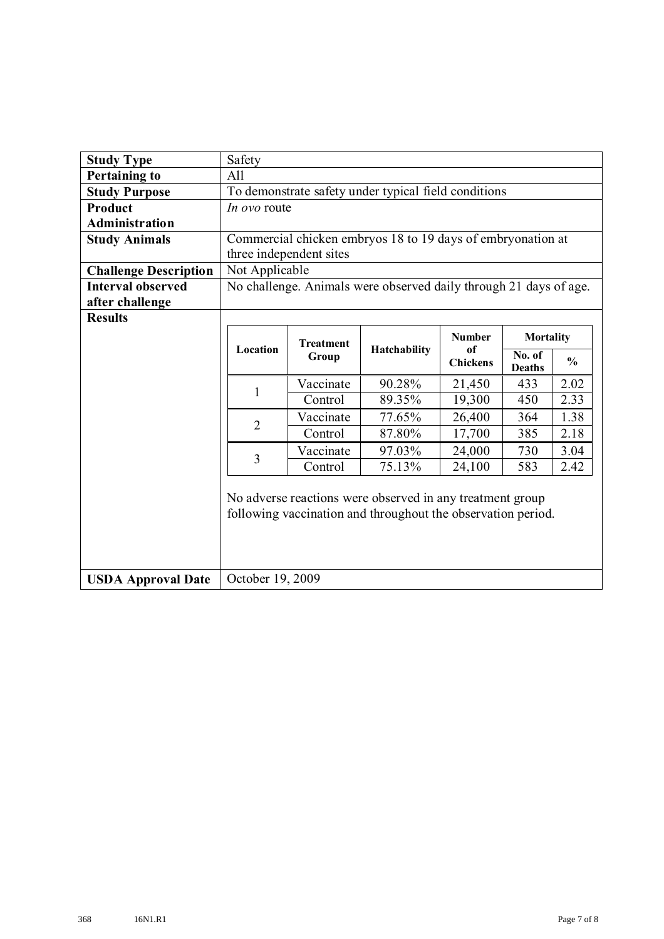| <b>Study Type</b>            | Safety                                                                                                                    |                                                      |                                                                   |                       |                         |               |  |  |
|------------------------------|---------------------------------------------------------------------------------------------------------------------------|------------------------------------------------------|-------------------------------------------------------------------|-----------------------|-------------------------|---------------|--|--|
| <b>Pertaining to</b>         | All                                                                                                                       |                                                      |                                                                   |                       |                         |               |  |  |
| <b>Study Purpose</b>         |                                                                                                                           | To demonstrate safety under typical field conditions |                                                                   |                       |                         |               |  |  |
| <b>Product</b>               | <i>In ovo</i> route                                                                                                       |                                                      |                                                                   |                       |                         |               |  |  |
| <b>Administration</b>        |                                                                                                                           |                                                      |                                                                   |                       |                         |               |  |  |
| <b>Study Animals</b>         |                                                                                                                           |                                                      | Commercial chicken embryos 18 to 19 days of embryonation at       |                       |                         |               |  |  |
|                              |                                                                                                                           | three independent sites                              |                                                                   |                       |                         |               |  |  |
| <b>Challenge Description</b> | Not Applicable                                                                                                            |                                                      |                                                                   |                       |                         |               |  |  |
| <b>Interval observed</b>     |                                                                                                                           |                                                      | No challenge. Animals were observed daily through 21 days of age. |                       |                         |               |  |  |
| after challenge              |                                                                                                                           |                                                      |                                                                   |                       |                         |               |  |  |
| <b>Results</b>               |                                                                                                                           |                                                      |                                                                   |                       |                         |               |  |  |
|                              | <b>Number</b><br>Mortality<br><b>Treatment</b>                                                                            |                                                      |                                                                   |                       |                         |               |  |  |
|                              | Location                                                                                                                  | Group                                                | Hatchability                                                      | of<br><b>Chickens</b> | No. of<br><b>Deaths</b> | $\frac{0}{0}$ |  |  |
|                              |                                                                                                                           | Vaccinate                                            | 90.28%                                                            | 21,450                | 433                     | 2.02          |  |  |
|                              | 1                                                                                                                         | Control                                              | 89.35%                                                            | 19,300                | 450                     | 2.33          |  |  |
|                              | Vaccinate<br>77.65%<br>26,400<br>364<br>$\overline{2}$                                                                    |                                                      |                                                                   |                       |                         |               |  |  |
|                              | 87.80%<br>Control<br>17,700<br>385<br>2.18<br>Vaccinate<br>97.03%<br>24,000<br>730<br>3.04                                |                                                      |                                                                   |                       |                         |               |  |  |
|                              |                                                                                                                           |                                                      |                                                                   |                       |                         |               |  |  |
|                              | 3<br>75.13%<br>2.42<br>Control<br>24,100<br>583                                                                           |                                                      |                                                                   |                       |                         |               |  |  |
|                              | No adverse reactions were observed in any treatment group<br>following vaccination and throughout the observation period. |                                                      |                                                                   |                       |                         |               |  |  |
| <b>USDA Approval Date</b>    | October 19, 2009                                                                                                          |                                                      |                                                                   |                       |                         |               |  |  |